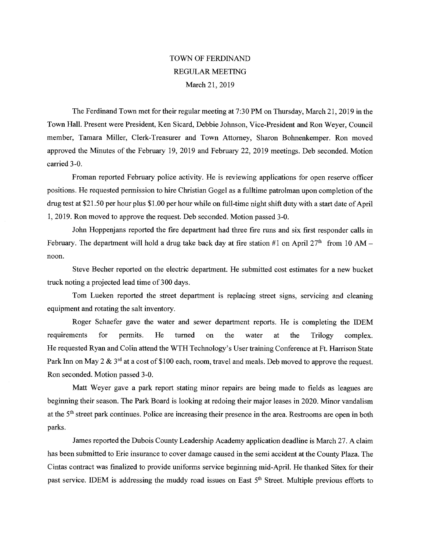## TOWN OF FERDINAND REGULAR MEETING March 21, 2019

The Ferdinand Town met for their regular meeting at 7:30 PM on Thursday, March 21, 2019 in the Town Hall. Present were President, Ken Sicard, Debbie Johnson, Vice-President and Ron Weyer, Council member, Tamara Miller, Clerk-Treasurer and Town Attorney, Sharon Bohnenkemper. Ron moved approved the Minutes of the February 19, 2019 and February 22, 2019 meetings. Deb seconded. Motion carried 3-0.

Froman reported February police activity. He is reviewing applications for open reserve officer positions. He requested permission to hire Christian Gogel as a fulltime patrolman upon completion of the drug test at \$21.50 per hour plus \$1.00 per hour while on full-time night shift duty with a start date of April 1, 2019. Ron moved to approve the request. Deb seconded. Motion passed 3-0.

John Hoppenjans reported the fire department had three fire runs and six first responder calls in February. The department will hold a drug take back day at fire station #1 on April  $27<sup>th</sup>$  from 10 AM – noon.

Steve Becher reported on the electric department. He submitted cost estimates for a new bucket truck noting a projected lead time of 300 days.

Tom Lueken reported the street department is replacing street signs, servicing and cleaning equipment and rotating the salt inventory.

Roger Schaefer gave the water and sewer department reports. He is completing the IDEM requirements for permits. He turned on the water at the Trilogy complex. He requested Ryan and Colin attend the WTH Technology's User training Conference at Ft. Harrison State Park Inn on May 2 &  $3^{rd}$  at a cost of \$100 each, room, travel and meals. Deb moved to approve the request. Ron seconded. Motion passed 3-0.

Matt Weyer gave a park report stating minor repairs are being made to fields as leagues are beginning their season. The Park Board is looking at redoing their major leases in 2020. Minor vandalism at the 5<sup>th</sup> street park continues. Police are increasing their presence in the area. Restrooms are open in both parks.

James reported the Dubois County Leadership Academy application deadline is March 27. A claim has been submitted to Erie insurance to cover damage caused in the semi accident at the County Plaza. The Cintas contract was finalized to provide uniforms service beginning mid-April. He thanked Sitex for their past service. IDEM is addressing the muddy road issues on East 5<sup>th</sup> Street. Multiple previous efforts to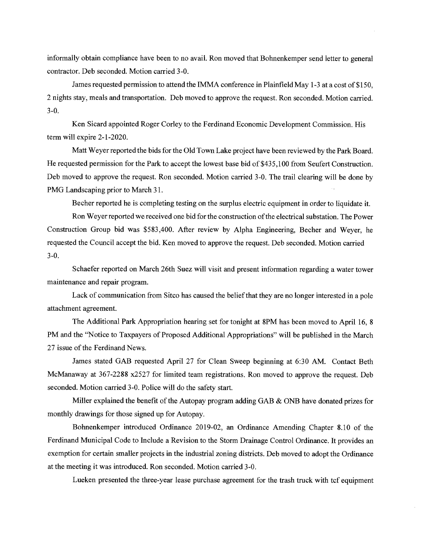informally obtain compliance have been to no avail. Ron moved that Bohnenkemper send letter to general contractor. Deb seconded. Motion carried 3-0.

James requested permission to attend the IMMA conference in Plainfield May 1-3 at a cost of \$150, 2 nights stay, meals and transportation. Deb moved to approve the request. Ron seconded. Motion carried. 3-0.

Ken Sicard appointed Roger Corley to the Ferdinand Economic Development Commission. His term will expire 2-1-2020.

Matt Weyer reported the bids for the Old Town Lake project have been reviewed by the Park Board. He requested permission for the Park to accept the lowest base bid of \$435,100 from Seufert Construction. Deb moved to approve the request. Ron seconded. Motion carried 3-0. The trail clearing will be done by PMG Landscaping prior to March 31.

Becher reported he is completing testing on the surplus electric equipment in order to liquidate it.

Ron Weyer reported we received one bid for the construction of the electrical substation. The Power Construction Group bid was \$583,400. After review by Alpha Engineering, Becher and Weyer, he requested the Council accept the bid. Ken moved to approve the request. Deb seconded. Motion carried 3-0.

Schaefer reported on March 26th Suez will visit and present information regarding a water tower maintenance and repair program.

Lack of communication from Sitco has caused the belief that they are no longer interested in a pole attachment agreement.

The Additional Park Appropriation hearing set for tonight at 8PM has been moved to April 16, 8 PM and the "Notice to Taxpayers of Proposed Additional Appropriations" will be published in the March 27 issue of the Ferdinand News.

James stated GAB requested April 27 for Clean Sweep beginning at 6:30 AM. Contact Beth McManaway at 367-2288 x2527 for limited team registrations. Ron moved to approve the request. Deb seconded. Motion carried 3-0. Police will do the safety start.

Miller explained the benefit of the Autopay program adding GAB & ONB have donated prizes for monthly drawings for those signed up for Autopay.

Bohnenkemper introduced Ordinance 2019-02, an Ordinance Amending Chapter 8.10 of the Ferdinand Municipal Code to Include a Revision to the Storm Drainage Control Ordinance. It provides an exemption for certain smaller projects in the industrial zoning districts. Deb moved to adopt the Ordinance at the meeting it was introduced. Ron seconded. Motion carried 3-0.

Lueken presented the three-year lease purchase agreement for the trash truck with tcf equipment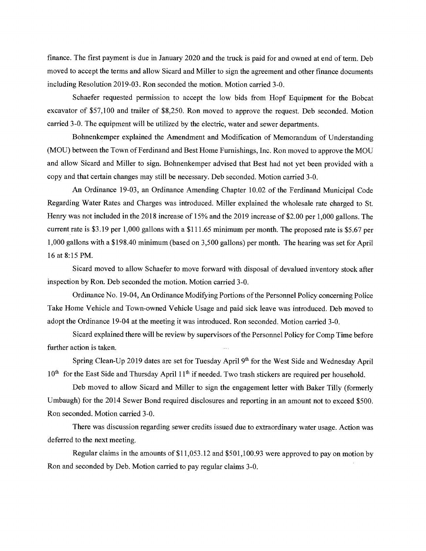finance. The first payment is due in January 2020 and the truck is paid for and owned at end of term. Deb moved to accept the terms and allow Sicard and Miller to sign the agreement and other finance documents including Resolution 2019-03. Ron seconded the motion. Motion carried 3-0.

Schaefer requested permission to accept the low bids from Hopf Equipment for the Bobcat excavator of \$57,100 and trailer of \$8,250. Ron moved to approve the request. Deb seconded. Motion carried 3-0. The equipment will be utilized by the electric, water and sewer departments.

Bohnenkemper explained the Amendment and Modification of Memorandum of Understanding (MOU) between the Town of Ferdinand and Best Home Furnishings, Inc. Ron moved to approve the MOU and allow Sicard and Miller to sign. Bohnenkemper advised that Best had not yet been provided with a copy and that certain changes may still be necessary. Deb seconded. Motion carried 3-0.

An Ordinance 19-03, an Ordinance Amending Chapter 10.02 of the Ferdinand Municipal Code Regarding Water Rates and Charges was introduced. Miller explained the wholesale rate charged to St. Henry was not included in the 2018 increase of 15% and the 2019 increase of \$2.00 per 1,000 gallons. The current rate is \$3.19 per 1,000 gallons with a \$111.65 minimum per month. The proposed rate is \$5.67 per 1,000 gallons with a \$198.40 minimum (based on 3,500 gallons) per month. The hearing was set for April 16 at 8:15 PM.

Sicard moved to allow Schaefer to move forward with disposal of devalued inventory stock after inspection by Ron. Deb seconded the motion. Motion carried 3-0.

Ordinance No. 19-04, An Ordinance Modifying Portions of the Personnel Policy concerning Police Take Home Vehicle and Town-owned Vehicle Usage and paid sick leave was introduced. Deb moved to adopt the Ordinance 19-04 at the meeting it was introduced. Ron seconded. Motion carried 3-0.

Sicard explained there will be review by supervisors of the Personnel Policy for Comp Time before further action is taken.

Spring Clean-Up 2019 dates are set for Tuesday April 9<sup>th</sup> for the West Side and Wednesday April 10<sup>th</sup> for the East Side and Thursday April 11<sup>th</sup> if needed. Two trash stickers are required per household.

Deb moved to allow Sicard and Miller to sign the engagement letter with Baker Tilly (formerly Umbaugh) for the 2014 Sewer Bond required disclosures and reporting in an amount not to exceed \$500. Ron seconded. Motion carried 3-0.

There was discussion regarding sewer credits issued due to extraordinary water usage. Action was deferred to the next meeting.

Regular claims in the amounts of \$11,053.12 and \$501,100.93 were approved to pay on motion by Ron and seconded by Deb. Motion carried to pay regular claims 3-0.